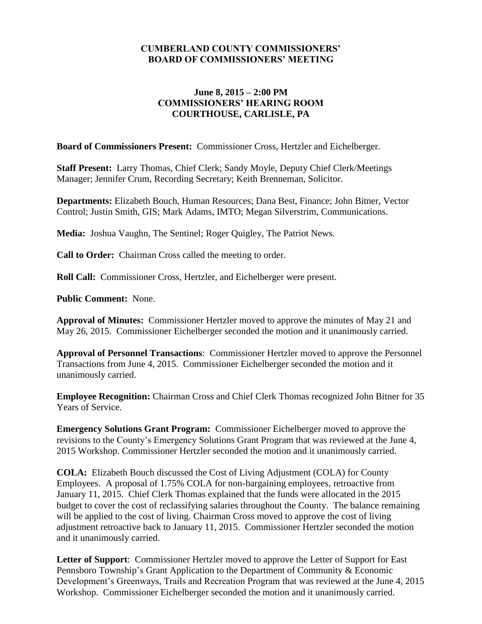#### **CUMBERLAND COUNTY COMMISSIONERS' BOARD OF COMMISSIONERS' MEETING**

#### **June 8, 2015 – 2:00 PM COMMISSIONERS' HEARING ROOM COURTHOUSE, CARLISLE, PA**

**Board of Commissioners Present:** Commissioner Cross, Hertzler and Eichelberger.

**Staff Present:** Larry Thomas, Chief Clerk; Sandy Moyle, Deputy Chief Clerk/Meetings Manager; Jennifer Crum, Recording Secretary; Keith Brenneman, Solicitor.

**Departments:** Elizabeth Bouch, Human Resources; Dana Best, Finance; John Bitner, Vector Control; Justin Smith, GIS; Mark Adams, IMTO; Megan Silverstrim, Communications.

**Media:** Joshua Vaughn, The Sentinel; Roger Quigley, The Patriot News.

**Call to Order:** Chairman Cross called the meeting to order.

**Roll Call:** Commissioner Cross, Hertzler, and Eichelberger were present.

**Public Comment:** None.

**Approval of Minutes:** Commissioner Hertzler moved to approve the minutes of May 21 and May 26, 2015. Commissioner Eichelberger seconded the motion and it unanimously carried.

**Approval of Personnel Transactions**: Commissioner Hertzler moved to approve the Personnel Transactions from June 4, 2015. Commissioner Eichelberger seconded the motion and it unanimously carried.

**Employee Recognition:** Chairman Cross and Chief Clerk Thomas recognized John Bitner for 35 Years of Service.

**Emergency Solutions Grant Program:** Commissioner Eichelberger moved to approve the revisions to the County's Emergency Solutions Grant Program that was reviewed at the June 4, 2015 Workshop. Commissioner Hertzler seconded the motion and it unanimously carried.

**COLA:** Elizabeth Bouch discussed the Cost of Living Adjustment (COLA) for County Employees. A proposal of 1.75% COLA for non-bargaining employees, retroactive from January 11, 2015. Chief Clerk Thomas explained that the funds were allocated in the 2015 budget to cover the cost of reclassifying salaries throughout the County. The balance remaining will be applied to the cost of living. Chairman Cross moved to approve the cost of living adjustment retroactive back to January 11, 2015. Commissioner Hertzler seconded the motion and it unanimously carried.

**Letter of Support**: Commissioner Hertzler moved to approve the Letter of Support for East Pennsboro Township's Grant Application to the Department of Community & Economic Development's Greenways, Trails and Recreation Program that was reviewed at the June 4, 2015 Workshop. Commissioner Eichelberger seconded the motion and it unanimously carried.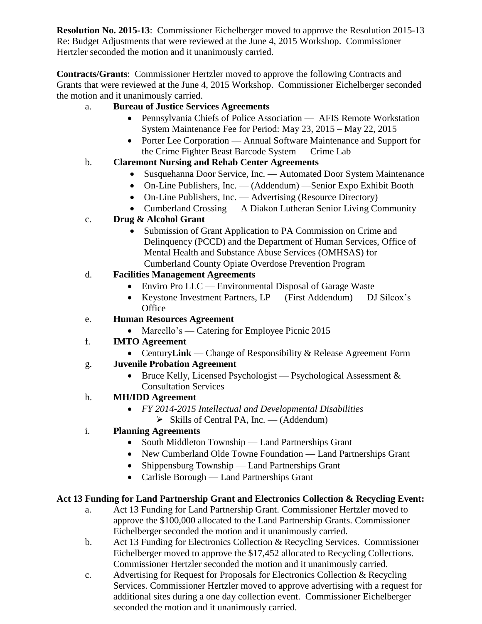**Resolution No. 2015-13**: Commissioner Eichelberger moved to approve the Resolution 2015-13 Re: Budget Adjustments that were reviewed at the June 4, 2015 Workshop. Commissioner Hertzler seconded the motion and it unanimously carried.

**Contracts/Grants**: Commissioner Hertzler moved to approve the following Contracts and Grants that were reviewed at the June 4, 2015 Workshop. Commissioner Eichelberger seconded the motion and it unanimously carried.

### a. **Bureau of Justice Services Agreements**

- Pennsylvania Chiefs of Police Association AFIS Remote Workstation System Maintenance Fee for Period: May 23, 2015 – May 22, 2015
- Porter Lee Corporation Annual Software Maintenance and Support for the Crime Fighter Beast Barcode System — Crime Lab

# b. **Claremont Nursing and Rehab Center Agreements**

- Susquehanna Door Service, Inc. Automated Door System Maintenance
- On-Line Publishers, Inc. (Addendum) —Senior Expo Exhibit Booth
- On-Line Publishers, Inc. Advertising (Resource Directory)
- Cumberland Crossing A Diakon Lutheran Senior Living Community

### c. **Drug & Alcohol Grant**

• Submission of Grant Application to PA Commission on Crime and Delinquency (PCCD) and the Department of Human Services, Office of Mental Health and Substance Abuse Services (OMHSAS) for Cumberland County Opiate Overdose Prevention Program

### d. **Facilities Management Agreements**

- Enviro Pro LLC Environmental Disposal of Garage Waste
- Keystone Investment Partners, LP (First Addendum) DJ Silcox's **Office**

# e. **Human Resources Agreement**

- Marcello's Catering for Employee Picnic 2015
- f. **IMTO Agreement** 
	- Century**Link** Change of Responsibility & Release Agreement Form

### g. **Juvenile Probation Agreement**

• Bruce Kelly, Licensed Psychologist — Psychological Assessment  $\&$ Consultation Services

# h. **MH/IDD Agreement**

- *FY 2014-2015 Intellectual and Developmental Disabilities*
	- $\triangleright$  Skills of Central PA, Inc. (Addendum)
- i. **Planning Agreements**
	- South Middleton Township Land Partnerships Grant
	- New Cumberland Olde Towne Foundation Land Partnerships Grant
	- Shippensburg Township Land Partnerships Grant
	- Carlisle Borough Land Partnerships Grant

# **Act 13 Funding for Land Partnership Grant and Electronics Collection & Recycling Event:**

- a. Act 13 Funding for Land Partnership Grant. Commissioner Hertzler moved to approve the \$100,000 allocated to the Land Partnership Grants. Commissioner Eichelberger seconded the motion and it unanimously carried.
- b. Act 13 Funding for Electronics Collection & Recycling Services. Commissioner Eichelberger moved to approve the \$17,452 allocated to Recycling Collections. Commissioner Hertzler seconded the motion and it unanimously carried.
- c. Advertising for Request for Proposals for Electronics Collection & Recycling Services. Commissioner Hertzler moved to approve advertising with a request for additional sites during a one day collection event. Commissioner Eichelberger seconded the motion and it unanimously carried.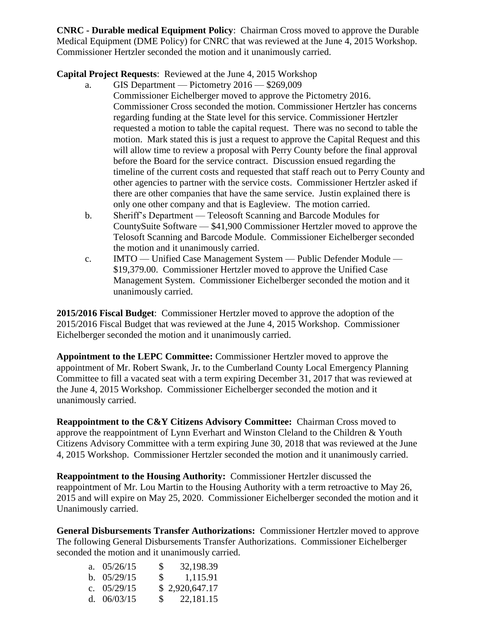**CNRC - Durable medical Equipment Policy**: Chairman Cross moved to approve the Durable Medical Equipment (DME Policy) for CNRC that was reviewed at the June 4, 2015 Workshop. Commissioner Hertzler seconded the motion and it unanimously carried.

**Capital Project Requests**: Reviewed at the June 4, 2015 Workshop

- a. GIS Department Pictometry 2016 \$269,009 Commissioner Eichelberger moved to approve the Pictometry 2016. Commissioner Cross seconded the motion. Commissioner Hertzler has concerns regarding funding at the State level for this service. Commissioner Hertzler requested a motion to table the capital request. There was no second to table the motion. Mark stated this is just a request to approve the Capital Request and this will allow time to review a proposal with Perry County before the final approval before the Board for the service contract. Discussion ensued regarding the timeline of the current costs and requested that staff reach out to Perry County and other agencies to partner with the service costs. Commissioner Hertzler asked if there are other companies that have the same service. Justin explained there is only one other company and that is Eagleview. The motion carried.
- b. Sheriff's Department Teleosoft Scanning and Barcode Modules for CountySuite Software — \$41,900 Commissioner Hertzler moved to approve the Telosoft Scanning and Barcode Module. Commissioner Eichelberger seconded the motion and it unanimously carried.
- c. IMTO Unified Case Management System Public Defender Module \$19,379.00. Commissioner Hertzler moved to approve the Unified Case Management System. Commissioner Eichelberger seconded the motion and it unanimously carried.

**2015/2016 Fiscal Budget**: Commissioner Hertzler moved to approve the adoption of the 2015/2016 Fiscal Budget that was reviewed at the June 4, 2015 Workshop. Commissioner Eichelberger seconded the motion and it unanimously carried.

**Appointment to the LEPC Committee:** Commissioner Hertzler moved to approve the appointment of Mr. Robert Swank, Jr**.** to the Cumberland County Local Emergency Planning Committee to fill a vacated seat with a term expiring December 31, 2017 that was reviewed at the June 4, 2015 Workshop. Commissioner Eichelberger seconded the motion and it unanimously carried.

**Reappointment to the C&Y Citizens Advisory Committee: Chairman Cross moved to** approve the reappointment of Lynn Everhart and Winston Cleland to the Children & Youth Citizens Advisory Committee with a term expiring June 30, 2018 that was reviewed at the June 4, 2015 Workshop. Commissioner Hertzler seconded the motion and it unanimously carried.

**Reappointment to the Housing Authority:** Commissioner Hertzler discussed the reappointment of Mr. Lou Martin to the Housing Authority with a term retroactive to May 26, 2015 and will expire on May 25, 2020. Commissioner Eichelberger seconded the motion and it Unanimously carried.

**General Disbursements Transfer Authorizations:** Commissioner Hertzler moved to approve The following General Disbursements Transfer Authorizations. Commissioner Eichelberger seconded the motion and it unanimously carried.

| a. $05/26/15$ | S | 32,198.39              |
|---------------|---|------------------------|
| b. $05/29/15$ |   | $\frac{\$}{1,115.91}$  |
| c. $05/29/15$ |   | \$2,920,647.17         |
| d. $06/03/15$ |   | $\frac{\$}{22,181.15}$ |